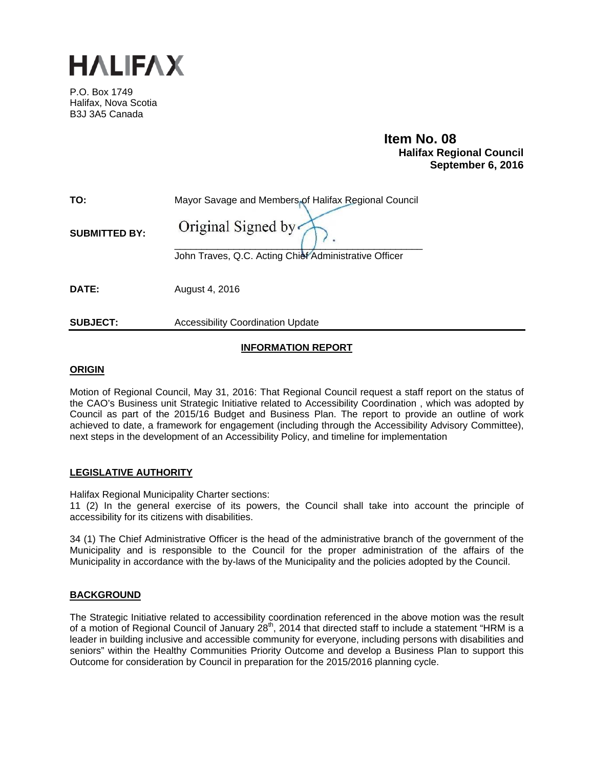

P.O. Box 1749 Halifax, Nova Scotia B3J 3A5 Canada

# **Item No. 08**<br>**Halifax Regional Council September 6, 2016**

| TO:                  | Mayor Savage and Members of Halifax Regional Council  |
|----------------------|-------------------------------------------------------|
| <b>SUBMITTED BY:</b> | Original Signed by                                    |
|                      | John Traves, Q.C. Acting Chief Administrative Officer |
| DATE:                | August 4, 2016                                        |

**SUBJECT:** Accessibility Coordination Update

## **INFORMATION REPORT**

#### **ORIGIN**

Motion of Regional Council, May 31, 2016: That Regional Council request a staff report on the status of the CAO's Business unit Strategic Initiative related to Accessibility Coordination , which was adopted by Council as part of the 2015/16 Budget and Business Plan. The report to provide an outline of work achieved to date, a framework for engagement (including through the Accessibility Advisory Committee), next steps in the development of an Accessibility Policy, and timeline for implementation

#### **LEGISLATIVE AUTHORITY**

Halifax Regional Municipality Charter sections:

11 (2) In the general exercise of its powers, the Council shall take into account the principle of accessibility for its citizens with disabilities.

34 (1) The Chief Administrative Officer is the head of the administrative branch of the government of the Municipality and is responsible to the Council for the proper administration of the affairs of the Municipality in accordance with the by-laws of the Municipality and the policies adopted by the Council.

#### **BACKGROUND**

The Strategic Initiative related to accessibility coordination referenced in the above motion was the result of a motion of Regional Council of January  $28<sup>th</sup>$ , 2014 that directed staff to include a statement "HRM is a leader in building inclusive and accessible community for everyone, including persons with disabilities and seniors" within the Healthy Communities Priority Outcome and develop a Business Plan to support this Outcome for consideration by Council in preparation for the 2015/2016 planning cycle.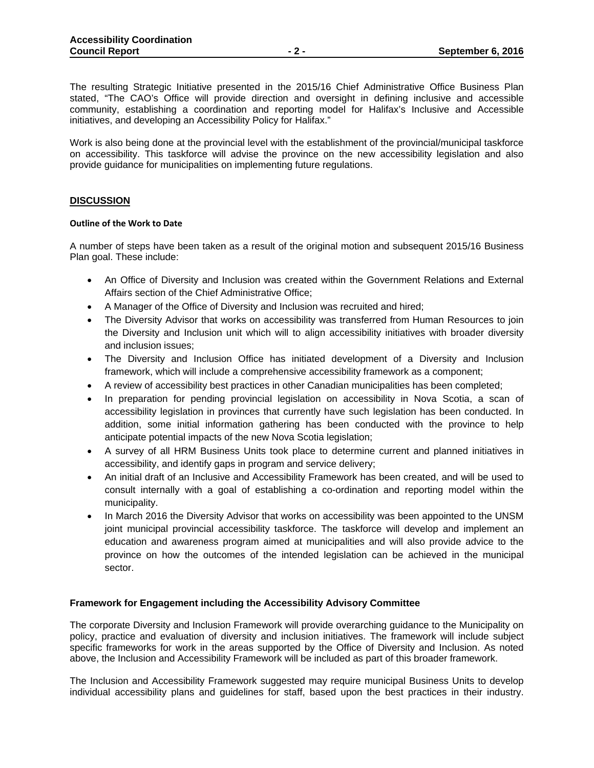The resulting Strategic Initiative presented in the 2015/16 Chief Administrative Office Business Plan stated, "The CAO's Office will provide direction and oversight in defining inclusive and accessible community, establishing a coordination and reporting model for Halifax's Inclusive and Accessible initiatives, and developing an Accessibility Policy for Halifax."

Work is also being done at the provincial level with the establishment of the provincial/municipal taskforce on accessibility. This taskforce will advise the province on the new accessibility legislation and also provide guidance for municipalities on implementing future regulations.

#### **DISCUSSION**

#### **Outline of the Work to Date**

A number of steps have been taken as a result of the original motion and subsequent 2015/16 Business Plan goal. These include:

- An Office of Diversity and Inclusion was created within the Government Relations and External Affairs section of the Chief Administrative Office;
- A Manager of the Office of Diversity and Inclusion was recruited and hired;
- The Diversity Advisor that works on accessibility was transferred from Human Resources to join the Diversity and Inclusion unit which will to align accessibility initiatives with broader diversity and inclusion issues;
- The Diversity and Inclusion Office has initiated development of a Diversity and Inclusion framework, which will include a comprehensive accessibility framework as a component;
- A review of accessibility best practices in other Canadian municipalities has been completed;
- In preparation for pending provincial legislation on accessibility in Nova Scotia, a scan of accessibility legislation in provinces that currently have such legislation has been conducted. In addition, some initial information gathering has been conducted with the province to help anticipate potential impacts of the new Nova Scotia legislation;
- A survey of all HRM Business Units took place to determine current and planned initiatives in accessibility, and identify gaps in program and service delivery;
- An initial draft of an Inclusive and Accessibility Framework has been created, and will be used to consult internally with a goal of establishing a co-ordination and reporting model within the municipality.
- In March 2016 the Diversity Advisor that works on accessibility was been appointed to the UNSM joint municipal provincial accessibility taskforce. The taskforce will develop and implement an education and awareness program aimed at municipalities and will also provide advice to the province on how the outcomes of the intended legislation can be achieved in the municipal sector.

#### **Framework for Engagement including the Accessibility Advisory Committee**

The corporate Diversity and Inclusion Framework will provide overarching guidance to the Municipality on policy, practice and evaluation of diversity and inclusion initiatives. The framework will include subject specific frameworks for work in the areas supported by the Office of Diversity and Inclusion. As noted above, the Inclusion and Accessibility Framework will be included as part of this broader framework.

The Inclusion and Accessibility Framework suggested may require municipal Business Units to develop individual accessibility plans and guidelines for staff, based upon the best practices in their industry.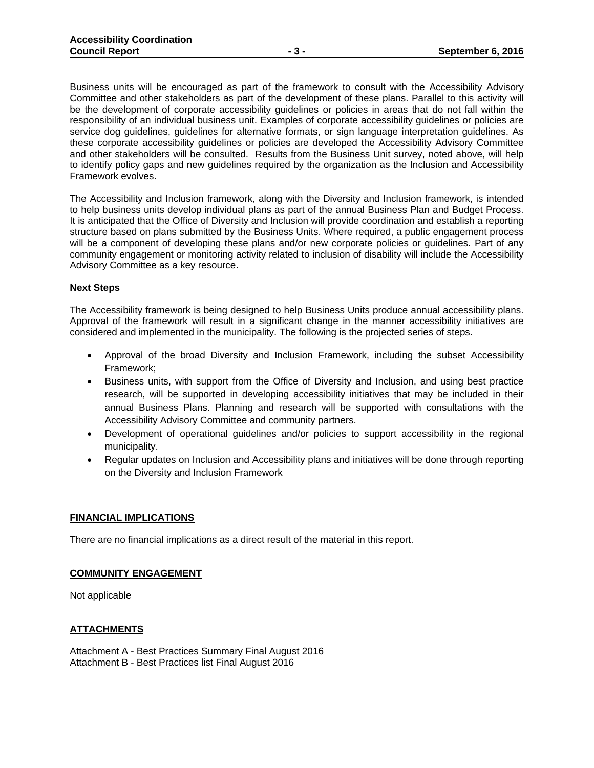Business units will be encouraged as part of the framework to consult with the Accessibility Advisory Committee and other stakeholders as part of the development of these plans. Parallel to this activity will be the development of corporate accessibility guidelines or policies in areas that do not fall within the responsibility of an individual business unit. Examples of corporate accessibility guidelines or policies are service dog guidelines, guidelines for alternative formats, or sign language interpretation guidelines. As these corporate accessibility guidelines or policies are developed the Accessibility Advisory Committee and other stakeholders will be consulted. Results from the Business Unit survey, noted above, will help to identify policy gaps and new guidelines required by the organization as the Inclusion and Accessibility Framework evolves.

The Accessibility and Inclusion framework, along with the Diversity and Inclusion framework, is intended to help business units develop individual plans as part of the annual Business Plan and Budget Process. It is anticipated that the Office of Diversity and Inclusion will provide coordination and establish a reporting structure based on plans submitted by the Business Units. Where required, a public engagement process will be a component of developing these plans and/or new corporate policies or guidelines. Part of any community engagement or monitoring activity related to inclusion of disability will include the Accessibility Advisory Committee as a key resource.

#### **Next Steps**

The Accessibility framework is being designed to help Business Units produce annual accessibility plans. Approval of the framework will result in a significant change in the manner accessibility initiatives are considered and implemented in the municipality. The following is the projected series of steps.

- Approval of the broad Diversity and Inclusion Framework, including the subset Accessibility Framework;
- Business units, with support from the Office of Diversity and Inclusion, and using best practice research, will be supported in developing accessibility initiatives that may be included in their annual Business Plans. Planning and research will be supported with consultations with the Accessibility Advisory Committee and community partners.
- Development of operational guidelines and/or policies to support accessibility in the regional municipality.
- Regular updates on Inclusion and Accessibility plans and initiatives will be done through reporting on the Diversity and Inclusion Framework

#### **FINANCIAL IMPLICATIONS**

There are no financial implications as a direct result of the material in this report.

#### **COMMUNITY ENGAGEMENT**

Not applicable

#### **ATTACHMENTS**

Attachment A - Best Practices Summary Final August 2016 Attachment B - Best Practices list Final August 2016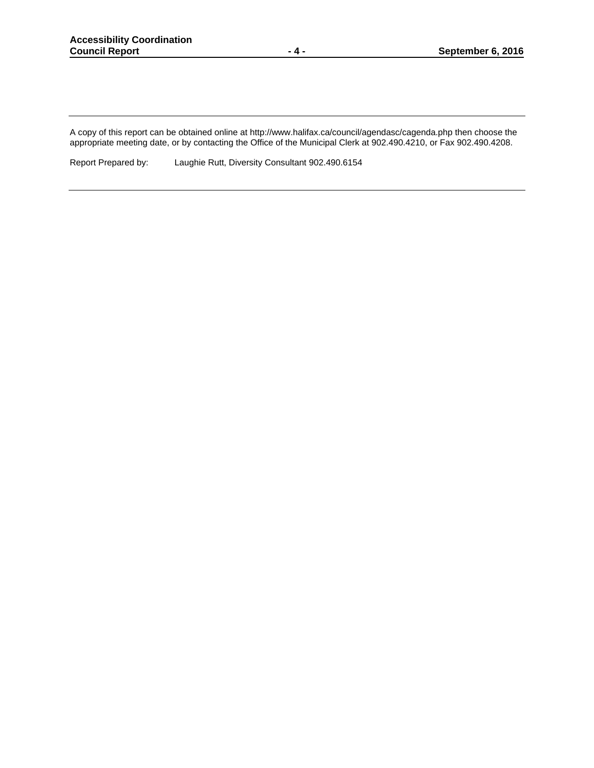A copy of this report can be obtained online at http://www.halifax.ca/council/agendasc/cagenda.php then choose the appropriate meeting date, or by contacting the Office of the Municipal Clerk at 902.490.4210, or Fax 902.490.4208.

Report Prepared by: Laughie Rutt, Diversity Consultant 902.490.6154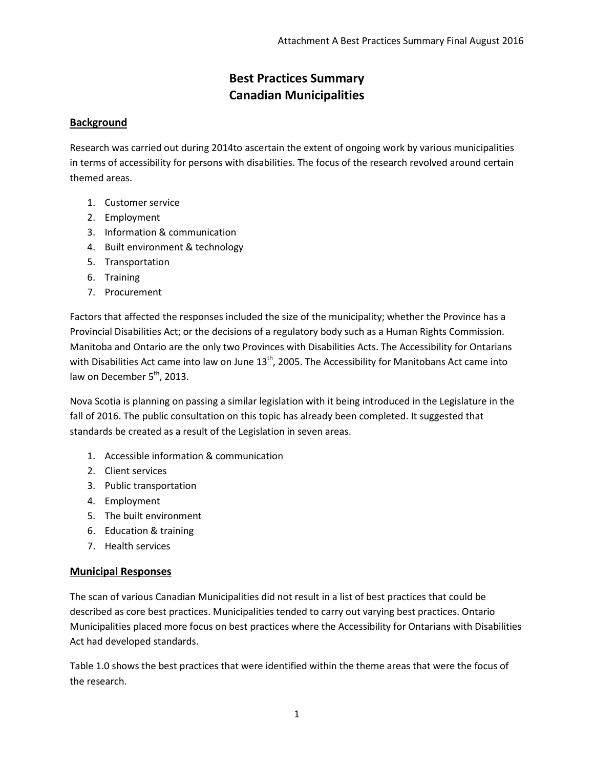## **Best Practices Summary Canadian Municipalities**

## **Background**

Research was carried out during 2014to ascertain the extent of ongoing work by various municipalities in terms of accessibility for persons with disabilities. The focus of the research revolved around certain themed areas.

- 1. Customer service
- 2. Employment
- 3. Information & communication
- 4. Built environment & technology
- 5. Transportation
- 6. Training
- 7. Procurement

Factors that affected the responses included the size of the municipality; whether the Province has a Provincial Disabilities Act; or the decisions of a regulatory body such as a Human Rights Commission. Manitoba and Ontario are the only two Provinces with Disabilities Acts. The Accessibility for Ontarians with Disabilities Act came into law on June  $13<sup>th</sup>$ , 2005. The Accessibility for Manitobans Act came into law on December  $5<sup>th</sup>$ , 2013.

Nova Scotia is planning on passing a similar legislation with it being introduced in the Legislature in the fall of 2016. The public consultation on this topic has already been completed. It suggested that standards be created as a result of the Legislation in seven areas.

- 1. Accessible information & communication
- 2. Client services
- 3. Public transportation
- 4. Employment
- 5. The built environment
- 6. Education & training
- 7. Health services

## **Municipal Responses**

The scan of various Canadian Municipalities did not result in a list of best practices that could be described as core best practices. Municipalities tended to carry out varying best practices. Ontario Municipalities placed more focus on best practices where the Accessibility for Ontarians with Disabilities Act had developed standards.

Table 1.0 shows the best practices that were identified within the theme areas that were the focus of the research.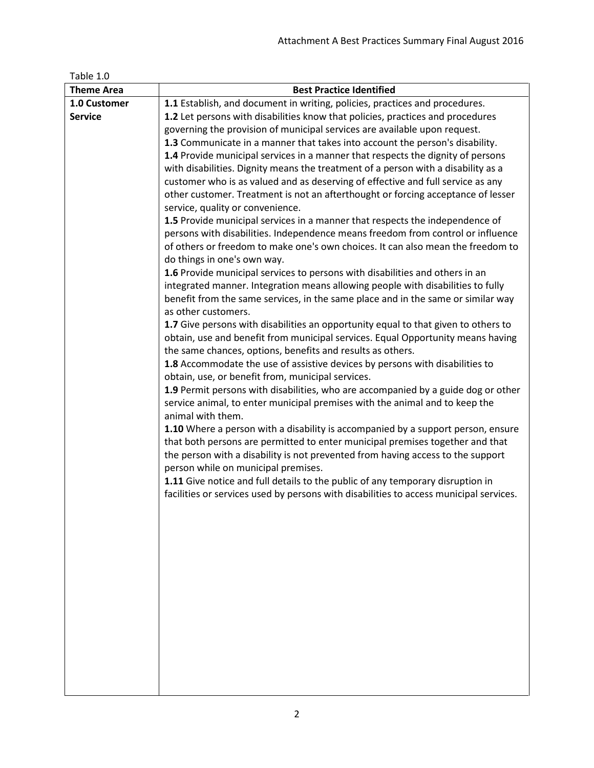| Table 1.0         |                                                                                                                                                                                                                                                                                             |
|-------------------|---------------------------------------------------------------------------------------------------------------------------------------------------------------------------------------------------------------------------------------------------------------------------------------------|
| <b>Theme Area</b> | <b>Best Practice Identified</b>                                                                                                                                                                                                                                                             |
| 1.0 Customer      | 1.1 Establish, and document in writing, policies, practices and procedures.                                                                                                                                                                                                                 |
| <b>Service</b>    | 1.2 Let persons with disabilities know that policies, practices and procedures                                                                                                                                                                                                              |
|                   | governing the provision of municipal services are available upon request.                                                                                                                                                                                                                   |
|                   | 1.3 Communicate in a manner that takes into account the person's disability.                                                                                                                                                                                                                |
|                   | 1.4 Provide municipal services in a manner that respects the dignity of persons                                                                                                                                                                                                             |
|                   | with disabilities. Dignity means the treatment of a person with a disability as a                                                                                                                                                                                                           |
|                   | customer who is as valued and as deserving of effective and full service as any                                                                                                                                                                                                             |
|                   | other customer. Treatment is not an afterthought or forcing acceptance of lesser<br>service, quality or convenience.                                                                                                                                                                        |
|                   | 1.5 Provide municipal services in a manner that respects the independence of                                                                                                                                                                                                                |
|                   | persons with disabilities. Independence means freedom from control or influence                                                                                                                                                                                                             |
|                   | of others or freedom to make one's own choices. It can also mean the freedom to<br>do things in one's own way.                                                                                                                                                                              |
|                   | 1.6 Provide municipal services to persons with disabilities and others in an                                                                                                                                                                                                                |
|                   | integrated manner. Integration means allowing people with disabilities to fully                                                                                                                                                                                                             |
|                   | benefit from the same services, in the same place and in the same or similar way<br>as other customers.                                                                                                                                                                                     |
|                   | 1.7 Give persons with disabilities an opportunity equal to that given to others to                                                                                                                                                                                                          |
|                   | obtain, use and benefit from municipal services. Equal Opportunity means having                                                                                                                                                                                                             |
|                   | the same chances, options, benefits and results as others.                                                                                                                                                                                                                                  |
|                   | 1.8 Accommodate the use of assistive devices by persons with disabilities to                                                                                                                                                                                                                |
|                   | obtain, use, or benefit from, municipal services.                                                                                                                                                                                                                                           |
|                   | 1.9 Permit persons with disabilities, who are accompanied by a guide dog or other<br>service animal, to enter municipal premises with the animal and to keep the<br>animal with them.                                                                                                       |
|                   | 1.10 Where a person with a disability is accompanied by a support person, ensure<br>that both persons are permitted to enter municipal premises together and that<br>the person with a disability is not prevented from having access to the support<br>person while on municipal premises. |
|                   | 1.11 Give notice and full details to the public of any temporary disruption in                                                                                                                                                                                                              |
|                   | facilities or services used by persons with disabilities to access municipal services.                                                                                                                                                                                                      |
|                   |                                                                                                                                                                                                                                                                                             |
|                   |                                                                                                                                                                                                                                                                                             |
|                   |                                                                                                                                                                                                                                                                                             |
|                   |                                                                                                                                                                                                                                                                                             |
|                   |                                                                                                                                                                                                                                                                                             |
|                   |                                                                                                                                                                                                                                                                                             |
|                   |                                                                                                                                                                                                                                                                                             |
|                   |                                                                                                                                                                                                                                                                                             |
|                   |                                                                                                                                                                                                                                                                                             |
|                   |                                                                                                                                                                                                                                                                                             |
|                   |                                                                                                                                                                                                                                                                                             |
|                   |                                                                                                                                                                                                                                                                                             |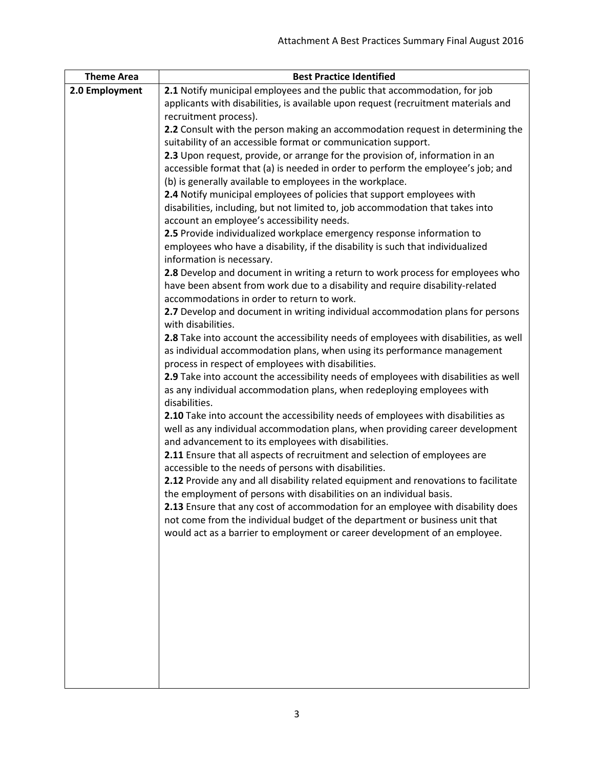| <b>Theme Area</b> | <b>Best Practice Identified</b>                                                                                                                                |
|-------------------|----------------------------------------------------------------------------------------------------------------------------------------------------------------|
| 2.0 Employment    | 2.1 Notify municipal employees and the public that accommodation, for job                                                                                      |
|                   | applicants with disabilities, is available upon request (recruitment materials and                                                                             |
|                   | recruitment process).                                                                                                                                          |
|                   | 2.2 Consult with the person making an accommodation request in determining the                                                                                 |
|                   | suitability of an accessible format or communication support.                                                                                                  |
|                   | 2.3 Upon request, provide, or arrange for the provision of, information in an                                                                                  |
|                   | accessible format that (a) is needed in order to perform the employee's job; and                                                                               |
|                   | (b) is generally available to employees in the workplace.                                                                                                      |
|                   | 2.4 Notify municipal employees of policies that support employees with                                                                                         |
|                   | disabilities, including, but not limited to, job accommodation that takes into                                                                                 |
|                   | account an employee's accessibility needs.                                                                                                                     |
|                   | 2.5 Provide individualized workplace emergency response information to                                                                                         |
|                   | employees who have a disability, if the disability is such that individualized                                                                                 |
|                   | information is necessary.                                                                                                                                      |
|                   | 2.8 Develop and document in writing a return to work process for employees who                                                                                 |
|                   | have been absent from work due to a disability and require disability-related                                                                                  |
|                   | accommodations in order to return to work.                                                                                                                     |
|                   | 2.7 Develop and document in writing individual accommodation plans for persons                                                                                 |
|                   | with disabilities.                                                                                                                                             |
|                   | 2.8 Take into account the accessibility needs of employees with disabilities, as well                                                                          |
|                   | as individual accommodation plans, when using its performance management                                                                                       |
|                   | process in respect of employees with disabilities.                                                                                                             |
|                   | 2.9 Take into account the accessibility needs of employees with disabilities as well<br>as any individual accommodation plans, when redeploying employees with |
|                   | disabilities.                                                                                                                                                  |
|                   | 2.10 Take into account the accessibility needs of employees with disabilities as                                                                               |
|                   | well as any individual accommodation plans, when providing career development                                                                                  |
|                   | and advancement to its employees with disabilities.                                                                                                            |
|                   | 2.11 Ensure that all aspects of recruitment and selection of employees are                                                                                     |
|                   | accessible to the needs of persons with disabilities.                                                                                                          |
|                   | 2.12 Provide any and all disability related equipment and renovations to facilitate                                                                            |
|                   | the employment of persons with disabilities on an individual basis.                                                                                            |
|                   | 2.13 Ensure that any cost of accommodation for an employee with disability does                                                                                |
|                   | not come from the individual budget of the department or business unit that                                                                                    |
|                   | would act as a barrier to employment or career development of an employee.                                                                                     |
|                   |                                                                                                                                                                |
|                   |                                                                                                                                                                |
|                   |                                                                                                                                                                |
|                   |                                                                                                                                                                |
|                   |                                                                                                                                                                |
|                   |                                                                                                                                                                |
|                   |                                                                                                                                                                |
|                   |                                                                                                                                                                |
|                   |                                                                                                                                                                |
|                   |                                                                                                                                                                |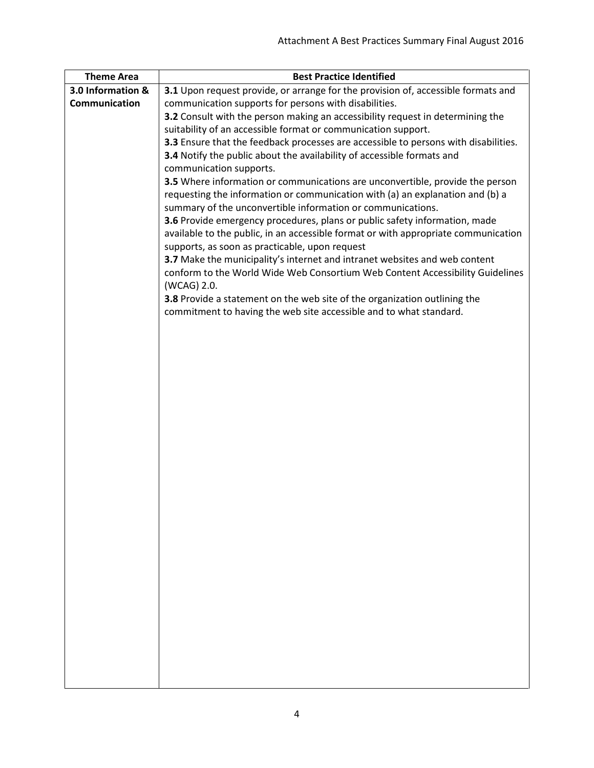| <b>Theme Area</b> | <b>Best Practice Identified</b>                                                     |
|-------------------|-------------------------------------------------------------------------------------|
| 3.0 Information & | 3.1 Upon request provide, or arrange for the provision of, accessible formats and   |
| Communication     | communication supports for persons with disabilities.                               |
|                   | 3.2 Consult with the person making an accessibility request in determining the      |
|                   | suitability of an accessible format or communication support.                       |
|                   | 3.3 Ensure that the feedback processes are accessible to persons with disabilities. |
|                   | 3.4 Notify the public about the availability of accessible formats and              |
|                   | communication supports.                                                             |
|                   | 3.5 Where information or communications are unconvertible, provide the person       |
|                   | requesting the information or communication with (a) an explanation and (b) a       |
|                   | summary of the unconvertible information or communications.                         |
|                   | 3.6 Provide emergency procedures, plans or public safety information, made          |
|                   | available to the public, in an accessible format or with appropriate communication  |
|                   | supports, as soon as practicable, upon request                                      |
|                   | 3.7 Make the municipality's internet and intranet websites and web content          |
|                   | conform to the World Wide Web Consortium Web Content Accessibility Guidelines       |
|                   | (WCAG) 2.0.                                                                         |
|                   | 3.8 Provide a statement on the web site of the organization outlining the           |
|                   | commitment to having the web site accessible and to what standard.                  |
|                   |                                                                                     |
|                   |                                                                                     |
|                   |                                                                                     |
|                   |                                                                                     |
|                   |                                                                                     |
|                   |                                                                                     |
|                   |                                                                                     |
|                   |                                                                                     |
|                   |                                                                                     |
|                   |                                                                                     |
|                   |                                                                                     |
|                   |                                                                                     |
|                   |                                                                                     |
|                   |                                                                                     |
|                   |                                                                                     |
|                   |                                                                                     |
|                   |                                                                                     |
|                   |                                                                                     |
|                   |                                                                                     |
|                   |                                                                                     |
|                   |                                                                                     |
|                   |                                                                                     |
|                   |                                                                                     |
|                   |                                                                                     |
|                   |                                                                                     |
|                   |                                                                                     |
|                   |                                                                                     |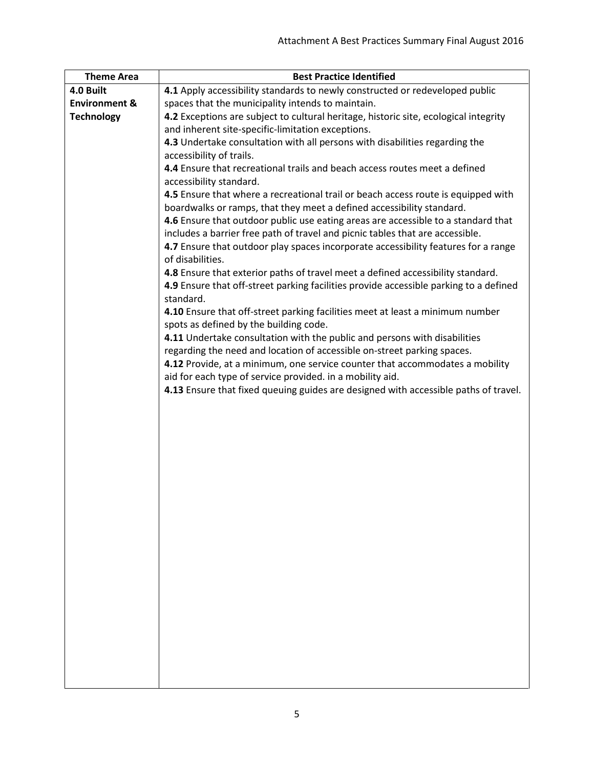| <b>Theme Area</b>        | <b>Best Practice Identified</b>                                                                                         |
|--------------------------|-------------------------------------------------------------------------------------------------------------------------|
| 4.0 Built                | 4.1 Apply accessibility standards to newly constructed or redeveloped public                                            |
| <b>Environment &amp;</b> | spaces that the municipality intends to maintain.                                                                       |
| <b>Technology</b>        | 4.2 Exceptions are subject to cultural heritage, historic site, ecological integrity                                    |
|                          | and inherent site-specific-limitation exceptions.                                                                       |
|                          | 4.3 Undertake consultation with all persons with disabilities regarding the                                             |
|                          | accessibility of trails.                                                                                                |
|                          | 4.4 Ensure that recreational trails and beach access routes meet a defined                                              |
|                          | accessibility standard.                                                                                                 |
|                          | 4.5 Ensure that where a recreational trail or beach access route is equipped with                                       |
|                          | boardwalks or ramps, that they meet a defined accessibility standard.                                                   |
|                          | 4.6 Ensure that outdoor public use eating areas are accessible to a standard that                                       |
|                          | includes a barrier free path of travel and picnic tables that are accessible.                                           |
|                          | 4.7 Ensure that outdoor play spaces incorporate accessibility features for a range                                      |
|                          | of disabilities.                                                                                                        |
|                          | 4.8 Ensure that exterior paths of travel meet a defined accessibility standard.                                         |
|                          | 4.9 Ensure that off-street parking facilities provide accessible parking to a defined                                   |
|                          | standard.                                                                                                               |
|                          | 4.10 Ensure that off-street parking facilities meet at least a minimum number<br>spots as defined by the building code. |
|                          | 4.11 Undertake consultation with the public and persons with disabilities                                               |
|                          | regarding the need and location of accessible on-street parking spaces.                                                 |
|                          | 4.12 Provide, at a minimum, one service counter that accommodates a mobility                                            |
|                          | aid for each type of service provided. in a mobility aid.                                                               |
|                          | 4.13 Ensure that fixed queuing guides are designed with accessible paths of travel.                                     |
|                          |                                                                                                                         |
|                          |                                                                                                                         |
|                          |                                                                                                                         |
|                          |                                                                                                                         |
|                          |                                                                                                                         |
|                          |                                                                                                                         |
|                          |                                                                                                                         |
|                          |                                                                                                                         |
|                          |                                                                                                                         |
|                          |                                                                                                                         |
|                          |                                                                                                                         |
|                          |                                                                                                                         |
|                          |                                                                                                                         |
|                          |                                                                                                                         |
|                          |                                                                                                                         |
|                          |                                                                                                                         |
|                          |                                                                                                                         |
|                          |                                                                                                                         |
|                          |                                                                                                                         |
|                          |                                                                                                                         |
|                          |                                                                                                                         |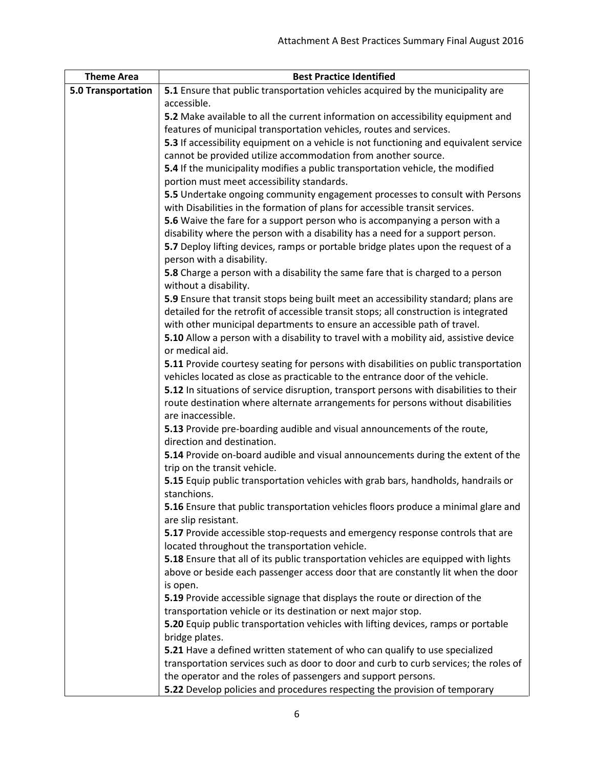| <b>Theme Area</b>  | <b>Best Practice Identified</b>                                                                                                                                              |
|--------------------|------------------------------------------------------------------------------------------------------------------------------------------------------------------------------|
| 5.0 Transportation | 5.1 Ensure that public transportation vehicles acquired by the municipality are                                                                                              |
|                    | accessible.                                                                                                                                                                  |
|                    | 5.2 Make available to all the current information on accessibility equipment and                                                                                             |
|                    | features of municipal transportation vehicles, routes and services.                                                                                                          |
|                    | 5.3 If accessibility equipment on a vehicle is not functioning and equivalent service                                                                                        |
|                    | cannot be provided utilize accommodation from another source.                                                                                                                |
|                    | 5.4 If the municipality modifies a public transportation vehicle, the modified                                                                                               |
|                    | portion must meet accessibility standards.                                                                                                                                   |
|                    | 5.5 Undertake ongoing community engagement processes to consult with Persons                                                                                                 |
|                    | with Disabilities in the formation of plans for accessible transit services.                                                                                                 |
|                    | 5.6 Waive the fare for a support person who is accompanying a person with a                                                                                                  |
|                    | disability where the person with a disability has a need for a support person.                                                                                               |
|                    | 5.7 Deploy lifting devices, ramps or portable bridge plates upon the request of a                                                                                            |
|                    | person with a disability.                                                                                                                                                    |
|                    | 5.8 Charge a person with a disability the same fare that is charged to a person                                                                                              |
|                    | without a disability.                                                                                                                                                        |
|                    | 5.9 Ensure that transit stops being built meet an accessibility standard; plans are<br>detailed for the retrofit of accessible transit stops; all construction is integrated |
|                    | with other municipal departments to ensure an accessible path of travel.                                                                                                     |
|                    | 5.10 Allow a person with a disability to travel with a mobility aid, assistive device                                                                                        |
|                    | or medical aid.                                                                                                                                                              |
|                    | 5.11 Provide courtesy seating for persons with disabilities on public transportation                                                                                         |
|                    | vehicles located as close as practicable to the entrance door of the vehicle.                                                                                                |
|                    | 5.12 In situations of service disruption, transport persons with disabilities to their                                                                                       |
|                    | route destination where alternate arrangements for persons without disabilities                                                                                              |
|                    | are inaccessible.                                                                                                                                                            |
|                    | 5.13 Provide pre-boarding audible and visual announcements of the route,                                                                                                     |
|                    | direction and destination.                                                                                                                                                   |
|                    | 5.14 Provide on-board audible and visual announcements during the extent of the                                                                                              |
|                    | trip on the transit vehicle.                                                                                                                                                 |
|                    | 5.15 Equip public transportation vehicles with grab bars, handholds, handrails or                                                                                            |
|                    | stanchions.                                                                                                                                                                  |
|                    | 5.16 Ensure that public transportation vehicles floors produce a minimal glare and                                                                                           |
|                    | are slip resistant.                                                                                                                                                          |
|                    | 5.17 Provide accessible stop-requests and emergency response controls that are                                                                                               |
|                    | located throughout the transportation vehicle.<br>5.18 Ensure that all of its public transportation vehicles are equipped with lights                                        |
|                    | above or beside each passenger access door that are constantly lit when the door                                                                                             |
|                    | is open.                                                                                                                                                                     |
|                    | 5.19 Provide accessible signage that displays the route or direction of the                                                                                                  |
|                    | transportation vehicle or its destination or next major stop.                                                                                                                |
|                    | 5.20 Equip public transportation vehicles with lifting devices, ramps or portable                                                                                            |
|                    | bridge plates.                                                                                                                                                               |
|                    | 5.21 Have a defined written statement of who can qualify to use specialized                                                                                                  |
|                    | transportation services such as door to door and curb to curb services; the roles of                                                                                         |
|                    | the operator and the roles of passengers and support persons.                                                                                                                |
|                    | 5.22 Develop policies and procedures respecting the provision of temporary                                                                                                   |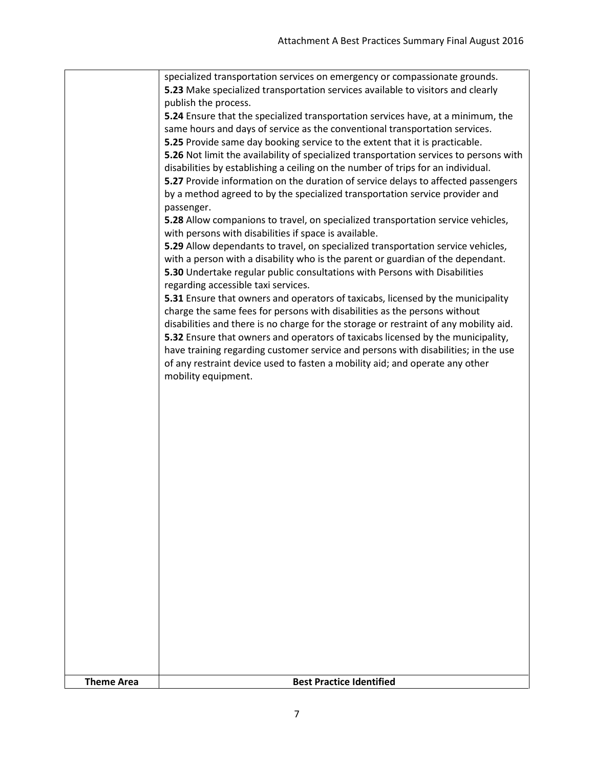| <b>Theme Area</b> | <b>Best Practice Identified</b>                                                                                                                                          |
|-------------------|--------------------------------------------------------------------------------------------------------------------------------------------------------------------------|
|                   |                                                                                                                                                                          |
|                   |                                                                                                                                                                          |
|                   |                                                                                                                                                                          |
|                   |                                                                                                                                                                          |
|                   |                                                                                                                                                                          |
|                   |                                                                                                                                                                          |
|                   |                                                                                                                                                                          |
|                   |                                                                                                                                                                          |
|                   |                                                                                                                                                                          |
|                   | mobility equipment.                                                                                                                                                      |
|                   | have training regarding customer service and persons with disabilities; in the use<br>of any restraint device used to fasten a mobility aid; and operate any other       |
|                   | disabilities and there is no charge for the storage or restraint of any mobility aid.<br>5.32 Ensure that owners and operators of taxicabs licensed by the municipality, |
|                   | 5.31 Ensure that owners and operators of taxicabs, licensed by the municipality<br>charge the same fees for persons with disabilities as the persons without             |
|                   | 5.30 Undertake regular public consultations with Persons with Disabilities<br>regarding accessible taxi services.                                                        |
|                   | 5.29 Allow dependants to travel, on specialized transportation service vehicles,<br>with a person with a disability who is the parent or guardian of the dependant.      |
|                   | 5.28 Allow companions to travel, on specialized transportation service vehicles,<br>with persons with disabilities if space is available.                                |
|                   | by a method agreed to by the specialized transportation service provider and<br>passenger.                                                                               |
|                   | disabilities by establishing a ceiling on the number of trips for an individual.<br>5.27 Provide information on the duration of service delays to affected passengers    |
|                   | 5.25 Provide same day booking service to the extent that it is practicable.<br>5.26 Not limit the availability of specialized transportation services to persons with    |
|                   | 5.24 Ensure that the specialized transportation services have, at a minimum, the<br>same hours and days of service as the conventional transportation services.          |
|                   | 5.23 Make specialized transportation services available to visitors and clearly<br>publish the process.                                                                  |
|                   | specialized transportation services on emergency or compassionate grounds.                                                                                               |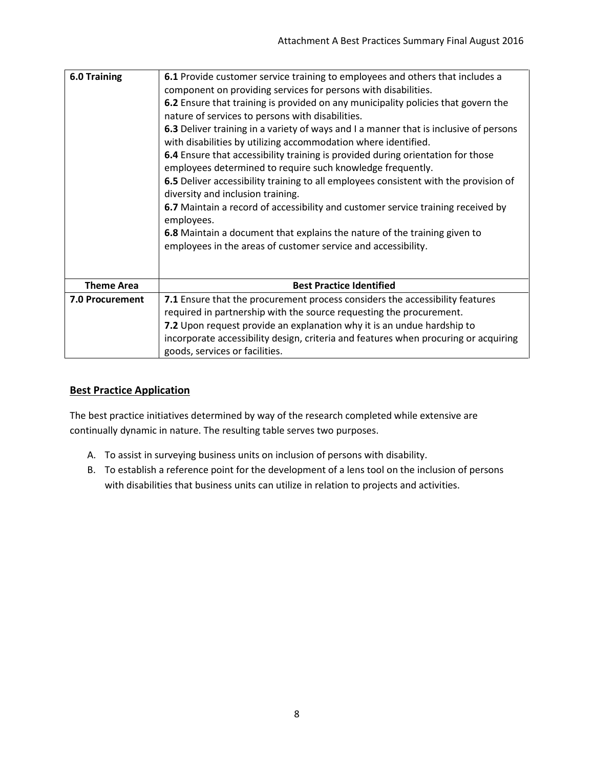| <b>6.0 Training</b>    | 6.1 Provide customer service training to employees and others that includes a<br>component on providing services for persons with disabilities.<br>6.2 Ensure that training is provided on any municipality policies that govern the<br>nature of services to persons with disabilities.<br>6.3 Deliver training in a variety of ways and I a manner that is inclusive of persons<br>with disabilities by utilizing accommodation where identified.<br>6.4 Ensure that accessibility training is provided during orientation for those<br>employees determined to require such knowledge frequently.<br>6.5 Deliver accessibility training to all employees consistent with the provision of<br>diversity and inclusion training.<br>6.7 Maintain a record of accessibility and customer service training received by<br>employees.<br>6.8 Maintain a document that explains the nature of the training given to<br>employees in the areas of customer service and accessibility. |
|------------------------|-----------------------------------------------------------------------------------------------------------------------------------------------------------------------------------------------------------------------------------------------------------------------------------------------------------------------------------------------------------------------------------------------------------------------------------------------------------------------------------------------------------------------------------------------------------------------------------------------------------------------------------------------------------------------------------------------------------------------------------------------------------------------------------------------------------------------------------------------------------------------------------------------------------------------------------------------------------------------------------|
| <b>Theme Area</b>      | <b>Best Practice Identified</b>                                                                                                                                                                                                                                                                                                                                                                                                                                                                                                                                                                                                                                                                                                                                                                                                                                                                                                                                                   |
| <b>7.0 Procurement</b> | 7.1 Ensure that the procurement process considers the accessibility features<br>required in partnership with the source requesting the procurement.<br>7.2 Upon request provide an explanation why it is an undue hardship to                                                                                                                                                                                                                                                                                                                                                                                                                                                                                                                                                                                                                                                                                                                                                     |
|                        | incorporate accessibility design, criteria and features when procuring or acquiring<br>goods, services or facilities.                                                                                                                                                                                                                                                                                                                                                                                                                                                                                                                                                                                                                                                                                                                                                                                                                                                             |

### **Best Practice Application**

The best practice initiatives determined by way of the research completed while extensive are continually dynamic in nature. The resulting table serves two purposes.

- A. To assist in surveying business units on inclusion of persons with disability.
- B. To establish a reference point for the development of a lens tool on the inclusion of persons with disabilities that business units can utilize in relation to projects and activities.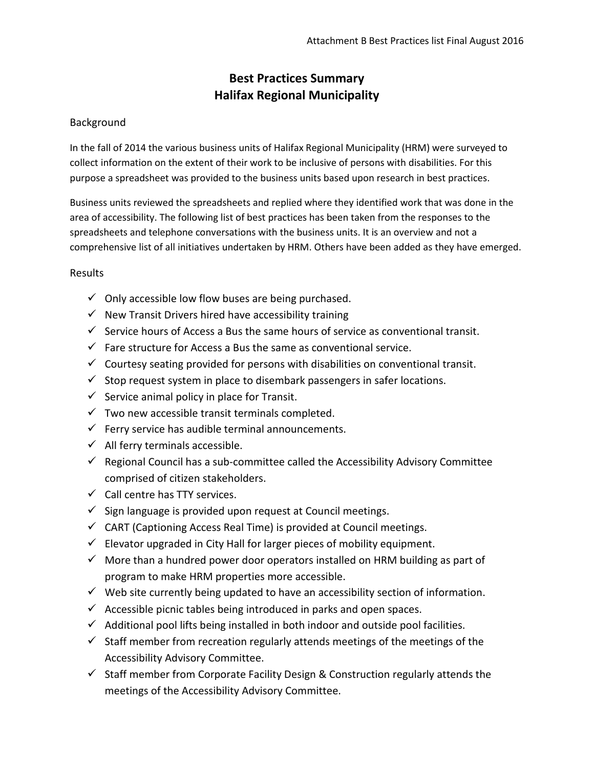## **Best Practices Summary Halifax Regional Municipality**

## Background

In the fall of 2014 the various business units of Halifax Regional Municipality (HRM) were surveyed to collect information on the extent of their work to be inclusive of persons with disabilities. For this purpose a spreadsheet was provided to the business units based upon research in best practices.

Business units reviewed the spreadsheets and replied where they identified work that was done in the area of accessibility. The following list of best practices has been taken from the responses to the spreadsheets and telephone conversations with the business units. It is an overview and not a comprehensive list of all initiatives undertaken by HRM. Others have been added as they have emerged.

## **Results**

- $\checkmark$  Only accessible low flow buses are being purchased.
- $\checkmark$  New Transit Drivers hired have accessibility training
- $\checkmark$  Service hours of Access a Bus the same hours of service as conventional transit.
- $\checkmark$  Fare structure for Access a Bus the same as conventional service.
- $\checkmark$  Courtesy seating provided for persons with disabilities on conventional transit.
- $\checkmark$  Stop request system in place to disembark passengers in safer locations.
- $\checkmark$  Service animal policy in place for Transit.
- $\checkmark$  Two new accessible transit terminals completed.
- $\checkmark$  Ferry service has audible terminal announcements.
- $\checkmark$  All ferry terminals accessible.
- $\checkmark$  Regional Council has a sub-committee called the Accessibility Advisory Committee comprised of citizen stakeholders.
- $\checkmark$  Call centre has TTY services.
- $\checkmark$  Sign language is provided upon request at Council meetings.
- $\checkmark$  CART (Captioning Access Real Time) is provided at Council meetings.
- $\checkmark$  Elevator upgraded in City Hall for larger pieces of mobility equipment.
- $\checkmark$  More than a hundred power door operators installed on HRM building as part of program to make HRM properties more accessible.
- $\checkmark$  Web site currently being updated to have an accessibility section of information.
- $\checkmark$  Accessible picnic tables being introduced in parks and open spaces.
- $\checkmark$  Additional pool lifts being installed in both indoor and outside pool facilities.
- $\checkmark$  Staff member from recreation regularly attends meetings of the meetings of the Accessibility Advisory Committee.
- $\checkmark$  Staff member from Corporate Facility Design & Construction regularly attends the meetings of the Accessibility Advisory Committee.